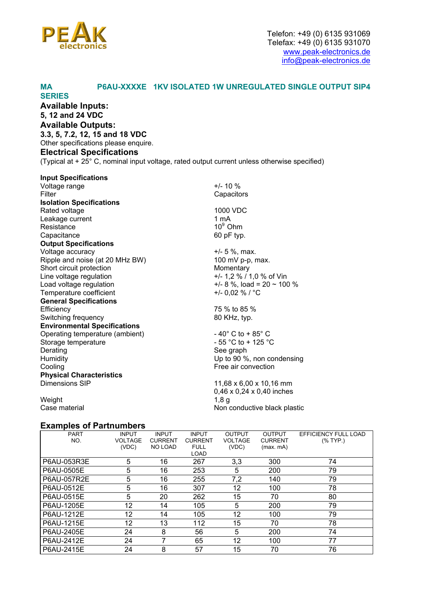

#### **MA P6AU-XXXXE 1KV ISOLATED 1W UNREGULATED SINGLE OUTPUT SIP4**

**SERIES Available Inputs: 5, 12 and 24 VDC Available Outputs: 3.3, 5, 7.2, 12, 15 and 18 VDC**  Other specifications please enquire. **Electrical Specifications** (Typical at + 25° C, nominal input voltage, rated output current unless otherwise specified)

| <b>Input Specifications</b>         |                                       |
|-------------------------------------|---------------------------------------|
| Voltage range                       | $+/- 10 \%$                           |
| Filter                              | Capacitors                            |
| <b>Isolation Specifications</b>     |                                       |
| Rated voltage                       | 1000 VDC                              |
| Leakage current                     | 1 mA                                  |
| Resistance                          | $10^9$ Ohm                            |
| Capacitance                         | 60 pF typ.                            |
| <b>Output Specifications</b>        |                                       |
| Voltage accuracy                    | $+/- 5 %$ , max.                      |
| Ripple and noise (at 20 MHz BW)     | 100 mV p-p, max.                      |
| Short circuit protection            | Momentary                             |
| Line voltage regulation             | +/- 1,2 % / 1,0 % of Vin              |
| Load voltage regulation             | $+/- 8$ %, load = 20 ~ 100 %          |
| Temperature coefficient             | +/- 0,02 % / °C                       |
| <b>General Specifications</b>       |                                       |
| Efficiency                          | 75 % to 85 %                          |
| Switching frequency                 | 80 KHz, typ.                          |
| <b>Environmental Specifications</b> |                                       |
| Operating temperature (ambient)     | $-40^{\circ}$ C to + 85 $^{\circ}$ C  |
| Storage temperature                 | $-55$ °C to + 125 °C                  |
| Derating                            | See graph                             |
| Humidity                            | Up to 90 %, non condensing            |
| Cooling                             | Free air convection                   |
| <b>Physical Characteristics</b>     |                                       |
| Dimensions SIP                      | 11,68 x 6,00 x 10,16 mm               |
|                                     | $0,46 \times 0,24 \times 0,40$ inches |
| Weight                              | 1,8g                                  |
| Case material                       | Non conductive black plastic          |

## **Examples of Partnumbers**

| <b>PART</b> | <b>INPUT</b>   | <b>INPUT</b>   | <b>INPUT</b>   | <b>OUTPUT</b>     | <b>OUTPUT</b>  | EFFICIENCY FULL LOAD |
|-------------|----------------|----------------|----------------|-------------------|----------------|----------------------|
| NO.         | <b>VOLTAGE</b> | <b>CURRENT</b> | <b>CURRENT</b> | <b>VOLTAGE</b>    | <b>CURRENT</b> | $(%$ TYP.)           |
|             | (VDC)          | NO LOAD        | <b>FULL</b>    | (VDC)             | (max.mA)       |                      |
|             |                |                | <b>LOAD</b>    |                   |                |                      |
| P6AU-053R3E | 5              | 16             | 267            | 3,3               | 300            | 74                   |
| P6AU-0505E  | 5              | 16             | 253            | 5                 | 200            | 79                   |
| P6AU-057R2E | 5              | 16             | 255            | 7,2               | 140            | 79                   |
| P6AU-0512E  | 5              | 16             | 307            | 12                | 100            | 78                   |
| P6AU-0515E  | 5              | 20             | 262            | 15                | 70             | 80                   |
| P6AU-1205E  | 12             | 14             | 105            | 5                 | 200            | 79                   |
| P6AU-1212E  | 12             | 14             | 105            | $12 \overline{ }$ | 100            | 79                   |
| P6AU-1215E  | 12             | 13             | 112            | 15                | 70             | 78                   |
| P6AU-2405E  | 24             | 8              | 56             | 5                 | 200            | 74                   |
| P6AU-2412E  | 24             |                | 65             | 12                | 100            | 77                   |
| P6AU-2415E  | 24             | 8              | 57             | 15                | 70             | 76                   |